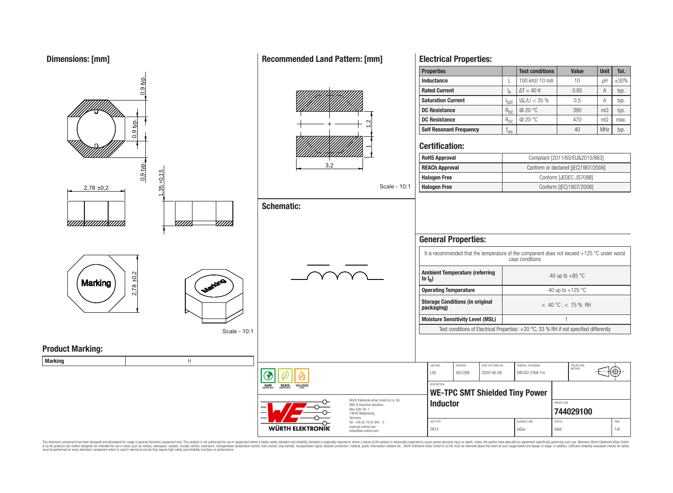**Dimensions: [mm]**



This electronic component has been designed and developed for usage in general electronic equipment only. This product is not authorized for use in equipment where a higher safety standard and reliability standard is espec & Ook product a label and the membed of the seasuch as marked and as which such a membed and the such assume that income in the seasuch and the simulation and the such assume that include to the such a membed and the such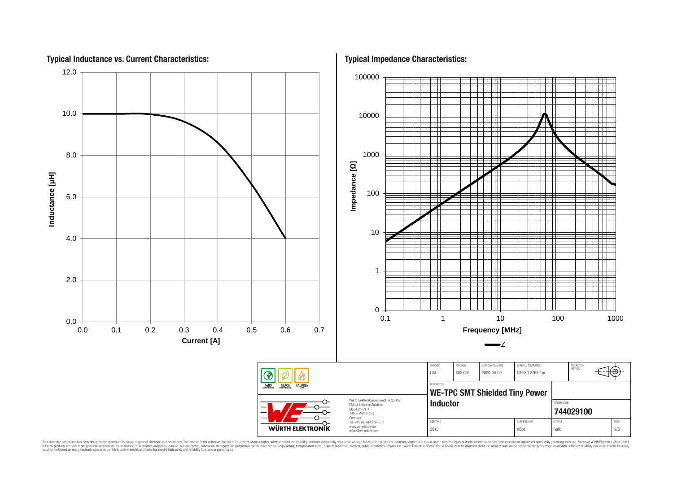

This electronic component has been designed and developed for usage in general electronic equipment only. This product is not authorized for use in equipment where a higher safely standard and reliability standard si espec & Ook product a label and the membed of the seasuch as marked and as which such a membed and the such assume that income in the seasuch and the simulation and the such assume that include to the such a membed and the such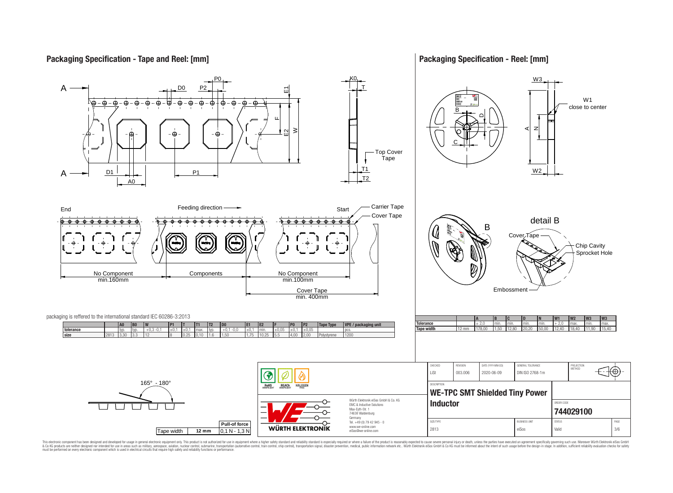# **Packaging Specification - Tape and Reel: [mm]**

## **Packaging Specification - Reel: [mm]**



This electronic component has been designed and developed for usage in general electronic equipment only. This product is not authorized for use in equipment where a higher safely standard and reliability standard si espec & Ook product a label and the membed of the seasuch as marked and as which such a membed and the such assume that income in the seasuch and the simulation and the such assume that include to the such a membed and the such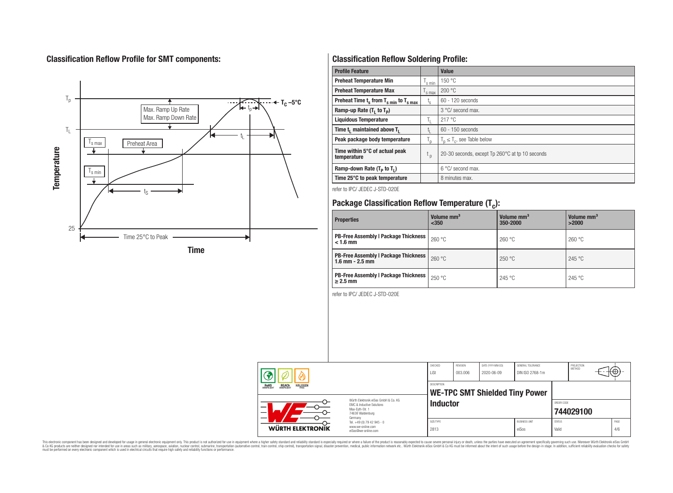# **Classification Reflow Profile for SMT components:**



# **Classification Reflow Soldering Profile:**

| <b>Profile Feature</b>                              |                    | <b>Value</b>                                    |
|-----------------------------------------------------|--------------------|-------------------------------------------------|
| <b>Preheat Temperature Min</b>                      | 's min             | 150 °C                                          |
| <b>Preheat Temperature Max</b>                      | <sup>I</sup> s max | 200 °C                                          |
| Preheat Time $t_s$ from $T_{s,min}$ to $T_{s,max}$  | $t_{s}$            | $60 - 120$ seconds                              |
| Ramp-up Rate $(T_1$ to $T_p$ )                      |                    | $3^{\circ}$ C/ second max.                      |
| <b>Liquidous Temperature</b>                        | Ь.                 | 217 °C                                          |
| Time t <sub>1</sub> maintained above T <sub>1</sub> |                    | 60 - 150 seconds                                |
| Peak package body temperature                       | $T_{\sf p}$        | $T_n \leq T_c$ , see Table below                |
| Time within 5°C of actual peak<br>temperature       | $t_{p}$            | 20-30 seconds, except Tp 260°C at tp 10 seconds |
| Ramp-down Rate $(T_P$ to $T_I$ )                    |                    | 6 °C/ second max.                               |
| Time 25°C to peak temperature                       |                    | 8 minutes max.                                  |

refer to IPC/ JEDEC J-STD-020E

# **Package Classification Reflow Temperature (T<sup>c</sup> ):**

| <b>Properties</b>                                                    | Volume mm <sup>3</sup><br>$350$ | Volume mm <sup>3</sup><br>350-2000 | Volume mm <sup>3</sup><br>>2000 |
|----------------------------------------------------------------------|---------------------------------|------------------------------------|---------------------------------|
| <b>PB-Free Assembly   Package Thickness</b><br>$< 1.6$ mm            | 260 °C                          | 260 °C                             | 260 °C                          |
| <b>PB-Free Assembly   Package Thickness  </b><br>$1.6$ mm $- 2.5$ mm | 260 °C                          | 250 °C                             | 245 °C                          |
| <b>PB-Free Assembly   Package Thickness  </b><br>$\geq$ 2.5 mm       | 250 °C                          | 245 °C                             | 245 °C                          |

refer to IPC/ JEDEC J-STD-020E

| ω                                                                                                                                                                                                                             |                                                                        | CHECKED<br>LiSt   | <b>REVISION</b><br>DATE (YYYY-MM-DD)<br>003.006<br>2020-06-09 |  | GENERAL TOLERANCE<br>DIN ISO 2768-1m |                        | PROJECTION<br>METHOD | ι₩          |
|-------------------------------------------------------------------------------------------------------------------------------------------------------------------------------------------------------------------------------|------------------------------------------------------------------------|-------------------|---------------------------------------------------------------|--|--------------------------------------|------------------------|----------------------|-------------|
| <b>ROHS</b><br><b>REACH</b><br>COMPLIANT<br><b>HALOGEN</b><br>Würth Flektronik eiSos GmbH & Co. KG<br><b>FMC &amp; Inductive Solutions</b><br>—<br>Max-Eyth-Str. 1<br>$\overline{\phantom{0}}$<br>74638 Waldenburg<br>Germany |                                                                        |                   | <b>DESCRIPTION</b><br><b>WE-TPC SMT Shielded Tiny Power</b>   |  |                                      |                        |                      |             |
|                                                                                                                                                                                                                               |                                                                        | <b>Inductor</b>   |                                                               |  |                                      | ORDER CODE             | 744029100            |             |
| <b>WÜRTH ELEKTRONIK</b>                                                                                                                                                                                                       | Tel. +49 (0) 79 42 945 - 0<br>www.we-online.com<br>eiSos@we-online.com | SIZE/TYPE<br>2813 |                                                               |  | <b>BUSINESS UNIT</b><br>eiSos        | <b>STATUS</b><br>Valid |                      | PAGE<br>4/6 |

This electronic component has been designed and developed for usage in general electronic equipment only. This product is not authorized for subserved requipment where a higher selection equipment where a higher selection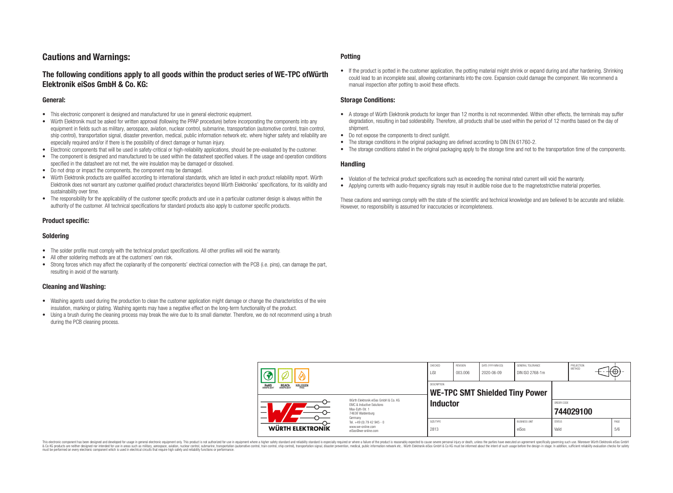# **Cautions and Warnings:**

# **The following conditions apply to all goods within the product series of WE-TPC ofWürth Elektronik eiSos GmbH & Co. KG:**

#### **General:**

- This electronic component is designed and manufactured for use in general electronic equipment.
- Würth Elektronik must be asked for written approval (following the PPAP procedure) before incorporating the components into any equipment in fields such as military, aerospace, aviation, nuclear control, submarine, transportation (automotive control, train control, ship control), transportation signal, disaster prevention, medical, public information network etc. where higher safety and reliability are especially required and/or if there is the possibility of direct damage or human injury.
- Electronic components that will be used in safety-critical or high-reliability applications, should be pre-evaluated by the customer.
- The component is designed and manufactured to be used within the datasheet specified values. If the usage and operation conditions specified in the datasheet are not met, the wire insulation may be damaged or dissolved.
- Do not drop or impact the components, the component may be damaged.
- Würth Elektronik products are qualified according to international standards, which are listed in each product reliability report. Würth Elektronik does not warrant any customer qualified product characteristics beyond Würth Elektroniks' specifications, for its validity and sustainability over time.
- The responsibility for the applicability of the customer specific products and use in a particular customer design is always within the authority of the customer. All technical specifications for standard products also apply to customer specific products.

## **Product specific:**

## **Soldering**

- The solder profile must comply with the technical product specifications. All other profiles will void the warranty.
- All other soldering methods are at the customers' own risk.
- Strong forces which may affect the coplanarity of the components' electrical connection with the PCB (i.e. pins), can damage the part, resulting in avoid of the warranty.

## **Cleaning and Washing:**

- Washing agents used during the production to clean the customer application might damage or change the characteristics of the wire insulation, marking or plating. Washing agents may have a negative effect on the long-term functionality of the product.
- Using a brush during the cleaning process may break the wire due to its small diameter. Therefore, we do not recommend using a brush during the PCB cleaning process.

#### **Potting**

• If the product is potted in the customer application, the potting material might shrink or expand during and after hardening. Shrinking could lead to an incomplete seal, allowing contaminants into the core. Expansion could damage the component. We recommend a manual inspection after potting to avoid these effects.

#### **Storage Conditions:**

- A storage of Würth Elektronik products for longer than 12 months is not recommended. Within other effects, the terminals may suffer degradation, resulting in bad solderability. Therefore, all products shall be used within the period of 12 months based on the day of shipment.
- Do not expose the components to direct sunlight.
- The storage conditions in the original packaging are defined according to DIN EN 61760-2.
- The storage conditions stated in the original packaging apply to the storage time and not to the transportation time of the components.

#### **Handling**

- Violation of the technical product specifications such as exceeding the nominal rated current will void the warranty.
- Applying currents with audio-frequency signals may result in audible noise due to the magnetostrictive material properties.

These cautions and warnings comply with the state of the scientific and technical knowledge and are believed to be accurate and reliable. However, no responsibility is assumed for inaccuracies or incompleteness.

|                                                                         |                                                                                                          | CHECKED<br>LiSt                                      | REVISION<br>003.006 | DATE (YYYY-MM-DD)<br>2020-06-09 | GENERAL TOLERANCE<br>DIN ISO 2768-1m |                        | PROJECTION<br>METHOD | ťΦ          |
|-------------------------------------------------------------------------|----------------------------------------------------------------------------------------------------------|------------------------------------------------------|---------------------|---------------------------------|--------------------------------------|------------------------|----------------------|-------------|
| <b>HALOGEN</b><br><b>ROHS</b><br>COMPLIANT<br><b>REACH</b><br>COMPLIANT |                                                                                                          | DESCRIPTION<br><b>WE-TPC SMT Shielded Tiny Power</b> |                     |                                 |                                      |                        |                      |             |
|                                                                         | Würth Elektronik eiSos GmbH & Co. KG<br>EMC & Inductive Solutions<br>Max-Eyth-Str. 1<br>74638 Waldenburg | <b>Inductor</b>                                      |                     |                                 |                                      | ORDER CODE             | 744029100            |             |
| WÜRTH ELEKTRONIK                                                        | Germany<br>Tel. +49 (0) 79 42 945 - 0<br>www.we-online.com<br>eiSos@we-online.com                        |                                                      |                     |                                 | <b>BUSINESS UNIT</b><br>eiSos        | <b>STATUS</b><br>Valid |                      | PAGE<br>5/6 |

This electronic component has been designed and developed for usage in general electronic equipment only. This product is not authorized for use in equipment where a higher safety standard and reliability standard si espec & Ook product a label and the membed of the seasuch as marked and as which such a membed and the such assume that income in the seasuch and the simulation and the such assume that include to the such a membed and the such